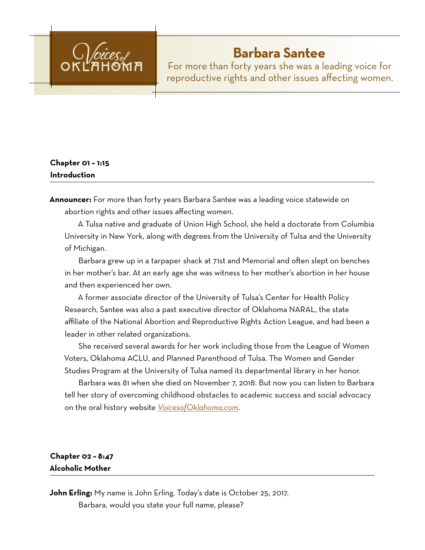

# **Barbara Santee**

For more than forty years she was a leading voice for reproductive rights and other issues affecting women.

## **Chapter 01 – 1:15 Introduction**

**Announcer:** For more than forty years Barbara Santee was a leading voice statewide on abortion rights and other issues affecting women.

A Tulsa native and graduate of Union High School, she held a doctorate from Columbia University in New York, along with degrees from the University of Tulsa and the University of Michigan.

Barbara grew up in a tarpaper shack at 71st and Memorial and often slept on benches in her mother's bar. At an early age she was witness to her mother's abortion in her house and then experienced her own.

A former associate director of the University of Tulsa's Center for Health Policy Research, Santee was also a past executive director of Oklahoma NARAL, the state affiliate of the National Abortion and Reproductive Rights Action League, and had been a leader in other related organizations.

She received several awards for her work including those from the League of Women Voters, Oklahoma ACLU, and Planned Parenthood of Tulsa. The Women and Gender Studies Program at the University of Tulsa named its departmental library in her honor.

Barbara was 81 when she died on November 7, 2018. But now you can listen to Barbara tell her story of overcoming childhood obstacles to academic success and social advocacy on the oral history website *[VoicesofOklahoma.com](http://www.voicesofoklahoma.com)*.

## **Chapter 02 – 8:47 Alcoholic Mother**

**John Erling:** My name is John Erling. Today's date is October 25, 2017. Barbara, would you state your full name, please?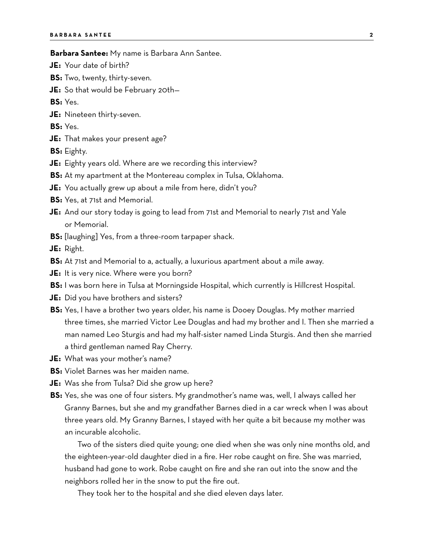#### **Barbara Santee:** My name is Barbara Ann Santee.

- **JE:** Your date of birth?
- **BS:** Two, twenty, thirty-seven.
- **JE:** So that would be February 20th—

**BS:** Yes.

**JE:** Nineteen thirty-seven.

**BS:** Yes.

**JE:** That makes your present age?

**BS:** Eighty.

- **JE:** Eighty years old. Where are we recording this interview?
- **BS:** At my apartment at the Montereau complex in Tulsa, Oklahoma.
- **JE:** You actually grew up about a mile from here, didn't you?
- **BS:** Yes, at 71st and Memorial.
- **JE:** And our story today is going to lead from 71st and Memorial to nearly 71st and Yale or Memorial.
- **BS:** [laughing] Yes, from a three-room tarpaper shack.

**JE:** Right.

- **BS:** At 71st and Memorial to a, actually, a luxurious apartment about a mile away.
- **JE:** It is very nice. Where were you born?
- **BS:** I was born here in Tulsa at Morningside Hospital, which currently is Hillcrest Hospital.
- **JE:** Did you have brothers and sisters?
- **BS:** Yes, I have a brother two years older, his name is Dooey Douglas. My mother married three times, she married Victor Lee Douglas and had my brother and I. Then she married a man named Leo Sturgis and had my half-sister named Linda Sturgis. And then she married a third gentleman named Ray Cherry.
- **JE:** What was your mother's name?
- **BS:** Violet Barnes was her maiden name.
- **JE:** Was she from Tulsa? Did she grow up here?
- **BS:** Yes, she was one of four sisters. My grandmother's name was, well, I always called her Granny Barnes, but she and my grandfather Barnes died in a car wreck when I was about three years old. My Granny Barnes, I stayed with her quite a bit because my mother was an incurable alcoholic.

Two of the sisters died quite young; one died when she was only nine months old, and the eighteen-year-old daughter died in a fire. Her robe caught on fire. She was married, husband had gone to work. Robe caught on fire and she ran out into the snow and the neighbors rolled her in the snow to put the fire out.

They took her to the hospital and she died eleven days later.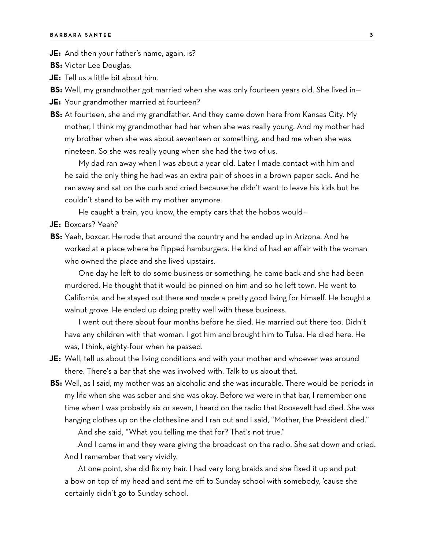**JE:** And then your father's name, again, is?

**BS:** Victor Lee Douglas.

**JE:** Tell us a little bit about him.

**BS:** Well, my grandmother got married when she was only fourteen years old. She lived in—

**JE:** Your grandmother married at fourteen?

**BS:** At fourteen, she and my grandfather. And they came down here from Kansas City. My mother, I think my grandmother had her when she was really young. And my mother had my brother when she was about seventeen or something, and had me when she was nineteen. So she was really young when she had the two of us.

My dad ran away when I was about a year old. Later I made contact with him and he said the only thing he had was an extra pair of shoes in a brown paper sack. And he ran away and sat on the curb and cried because he didn't want to leave his kids but he couldn't stand to be with my mother anymore.

He caught a train, you know, the empty cars that the hobos would—

**JE:** Boxcars? Yeah?

**BS:** Yeah, boxcar. He rode that around the country and he ended up in Arizona. And he worked at a place where he flipped hamburgers. He kind of had an affair with the woman who owned the place and she lived upstairs.

One day he left to do some business or something, he came back and she had been murdered. He thought that it would be pinned on him and so he left town. He went to California, and he stayed out there and made a pretty good living for himself. He bought a walnut grove. He ended up doing pretty well with these business.

I went out there about four months before he died. He married out there too. Didn't have any children with that woman. I got him and brought him to Tulsa. He died here. He was, I think, eighty-four when he passed.

- **JE:** Well, tell us about the living conditions and with your mother and whoever was around there. There's a bar that she was involved with. Talk to us about that.
- **BS:** Well, as I said, my mother was an alcoholic and she was incurable. There would be periods in my life when she was sober and she was okay. Before we were in that bar, I remember one time when I was probably six or seven, I heard on the radio that Roosevelt had died. She was hanging clothes up on the clothesline and I ran out and I said, "Mother, the President died."

And she said, "What you telling me that for? That's not true."

And I came in and they were giving the broadcast on the radio. She sat down and cried. And I remember that very vividly.

At one point, she did fix my hair. I had very long braids and she fixed it up and put a bow on top of my head and sent me off to Sunday school with somebody, 'cause she certainly didn't go to Sunday school.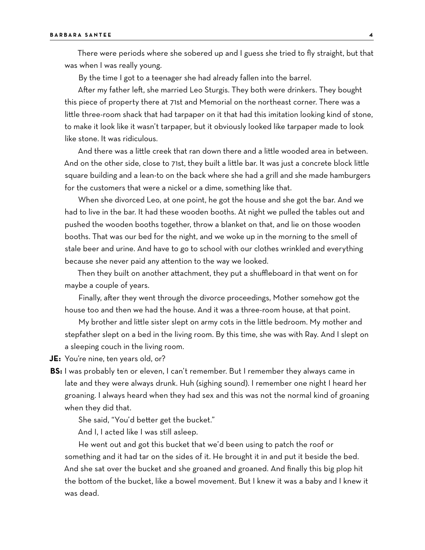There were periods where she sobered up and I guess she tried to fly straight, but that was when I was really young.

By the time I got to a teenager she had already fallen into the barrel.

After my father left, she married Leo Sturgis. They both were drinkers. They bought this piece of property there at 71st and Memorial on the northeast corner. There was a little three-room shack that had tarpaper on it that had this imitation looking kind of stone, to make it look like it wasn't tarpaper, but it obviously looked like tarpaper made to look like stone. It was ridiculous.

And there was a little creek that ran down there and a little wooded area in between. And on the other side, close to 71st, they built a little bar. It was just a concrete block little square building and a lean-to on the back where she had a grill and she made hamburgers for the customers that were a nickel or a dime, something like that.

When she divorced Leo, at one point, he got the house and she got the bar. And we had to live in the bar. It had these wooden booths. At night we pulled the tables out and pushed the wooden booths together, throw a blanket on that, and lie on those wooden booths. That was our bed for the night, and we woke up in the morning to the smell of stale beer and urine. And have to go to school with our clothes wrinkled and everything because she never paid any attention to the way we looked.

Then they built on another attachment, they put a shuffleboard in that went on for maybe a couple of years.

Finally, after they went through the divorce proceedings, Mother somehow got the house too and then we had the house. And it was a three-room house, at that point.

My brother and little sister slept on army cots in the little bedroom. My mother and stepfather slept on a bed in the living room. By this time, she was with Ray. And I slept on a sleeping couch in the living room.

**JE:** You're nine, ten years old, or?

**BS:** I was probably ten or eleven, I can't remember. But I remember they always came in late and they were always drunk. Huh (sighing sound). I remember one night I heard her groaning. I always heard when they had sex and this was not the normal kind of groaning when they did that.

She said, "You'd better get the bucket."

And I, I acted like I was still asleep.

He went out and got this bucket that we'd been using to patch the roof or something and it had tar on the sides of it. He brought it in and put it beside the bed. And she sat over the bucket and she groaned and groaned. And finally this big plop hit the bottom of the bucket, like a bowel movement. But I knew it was a baby and I knew it was dead.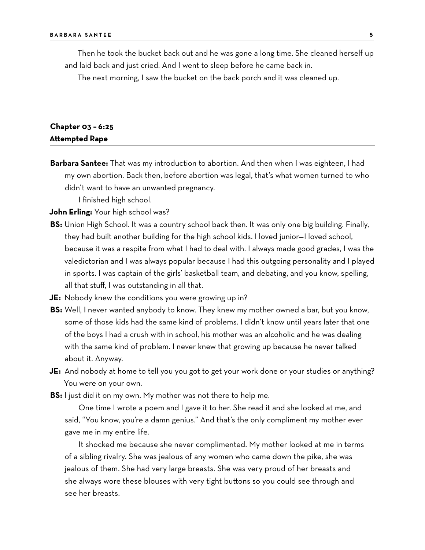Then he took the bucket back out and he was gone a long time. She cleaned herself up and laid back and just cried. And I went to sleep before he came back in.

The next morning, I saw the bucket on the back porch and it was cleaned up.

#### **Chapter 03 – 6:25 Attempted Rape**

**Barbara Santee:** That was my introduction to abortion. And then when I was eighteen, I had my own abortion. Back then, before abortion was legal, that's what women turned to who didn't want to have an unwanted pregnancy.

I finished high school.

**John Erling:** Your high school was?

- **BS:** Union High School. It was a country school back then. It was only one big building. Finally, they had built another building for the high school kids. I loved junior—I loved school, because it was a respite from what I had to deal with. I always made good grades, I was the valedictorian and I was always popular because I had this outgoing personality and I played in sports. I was captain of the girls' basketball team, and debating, and you know, spelling, all that stuff, I was outstanding in all that.
- **JE:** Nobody knew the conditions you were growing up in?
- **BS:** Well, I never wanted anybody to know. They knew my mother owned a bar, but you know, some of those kids had the same kind of problems. I didn't know until years later that one of the boys I had a crush with in school, his mother was an alcoholic and he was dealing with the same kind of problem. I never knew that growing up because he never talked about it. Anyway.
- **JE:** And nobody at home to tell you you got to get your work done or your studies or anything? You were on your own.
- **BS:** I just did it on my own. My mother was not there to help me.

One time I wrote a poem and I gave it to her. She read it and she looked at me, and said, "You know, you're a damn genius." And that's the only compliment my mother ever gave me in my entire life.

It shocked me because she never complimented. My mother looked at me in terms of a sibling rivalry. She was jealous of any women who came down the pike, she was jealous of them. She had very large breasts. She was very proud of her breasts and she always wore these blouses with very tight buttons so you could see through and see her breasts.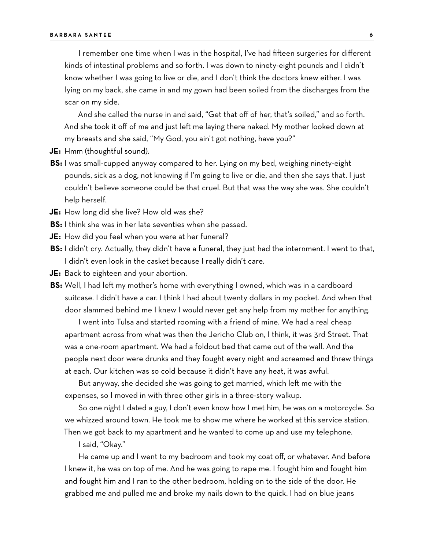I remember one time when I was in the hospital, I've had fifteen surgeries for different kinds of intestinal problems and so forth. I was down to ninety-eight pounds and I didn't know whether I was going to live or die, and I don't think the doctors knew either. I was lying on my back, she came in and my gown had been soiled from the discharges from the scar on my side.

And she called the nurse in and said, "Get that off of her, that's soiled," and so forth. And she took it off of me and just left me laying there naked. My mother looked down at my breasts and she said, "My God, you ain't got nothing, have you?"

- **JE:** Hmm (thoughtful sound).
- **BS:** I was small-cupped anyway compared to her. Lying on my bed, weighing ninety-eight pounds, sick as a dog, not knowing if I'm going to live or die, and then she says that. I just couldn't believe someone could be that cruel. But that was the way she was. She couldn't help herself.
- **JE:** How long did she live? How old was she?
- **BS:** I think she was in her late seventies when she passed.
- **JE:** How did you feel when you were at her funeral?
- **BS:** I didn't cry. Actually, they didn't have a funeral, they just had the internment. I went to that, I didn't even look in the casket because I really didn't care.
- **JE:** Back to eighteen and your abortion.
- **BS:** Well, I had left my mother's home with everything I owned, which was in a cardboard suitcase. I didn't have a car. I think I had about twenty dollars in my pocket. And when that door slammed behind me I knew I would never get any help from my mother for anything.

I went into Tulsa and started rooming with a friend of mine. We had a real cheap apartment across from what was then the Jericho Club on, I think, it was 3rd Street. That was a one-room apartment. We had a foldout bed that came out of the wall. And the people next door were drunks and they fought every night and screamed and threw things at each. Our kitchen was so cold because it didn't have any heat, it was awful.

But anyway, she decided she was going to get married, which left me with the expenses, so I moved in with three other girls in a three-story walkup.

So one night I dated a guy, I don't even know how I met him, he was on a motorcycle. So we whizzed around town. He took me to show me where he worked at this service station. Then we got back to my apartment and he wanted to come up and use my telephone.

I said, "Okay."

He came up and I went to my bedroom and took my coat off, or whatever. And before I knew it, he was on top of me. And he was going to rape me. I fought him and fought him and fought him and I ran to the other bedroom, holding on to the side of the door. He grabbed me and pulled me and broke my nails down to the quick. I had on blue jeans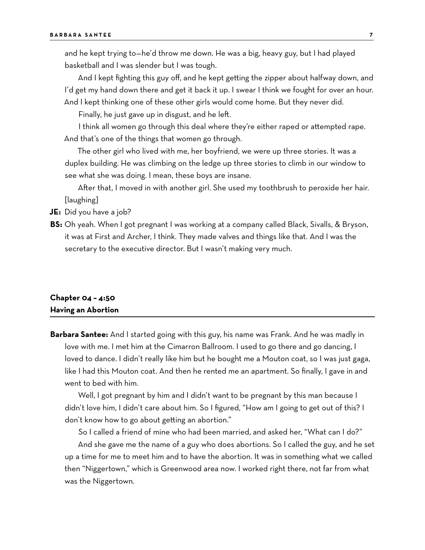and he kept trying to—he'd throw me down. He was a big, heavy guy, but I had played basketball and I was slender but I was tough.

And I kept fighting this guy off, and he kept getting the zipper about halfway down, and I'd get my hand down there and get it back it up. I swear I think we fought for over an hour. And I kept thinking one of these other girls would come home. But they never did.

Finally, he just gave up in disgust, and he left.

I think all women go through this deal where they're either raped or attempted rape. And that's one of the things that women go through.

The other girl who lived with me, her boyfriend, we were up three stories. It was a duplex building. He was climbing on the ledge up three stories to climb in our window to see what she was doing. I mean, these boys are insane.

After that, I moved in with another girl. She used my toothbrush to peroxide her hair. [laughing]

**JE:** Did you have a job?

**BS:** Oh yeah. When I got pregnant I was working at a company called Black, Sivalls, & Bryson, it was at First and Archer, I think. They made valves and things like that. And I was the secretary to the executive director. But I wasn't making very much.

#### **Chapter 04 – 4:50 Having an Abortion**

**Barbara Santee:** And I started going with this guy, his name was Frank. And he was madly in love with me. I met him at the Cimarron Ballroom. I used to go there and go dancing, I loved to dance. I didn't really like him but he bought me a Mouton coat, so I was just gaga, like I had this Mouton coat. And then he rented me an apartment. So finally, I gave in and went to bed with him.

Well, I got pregnant by him and I didn't want to be pregnant by this man because I didn't love him, I didn't care about him. So I figured, "How am I going to get out of this? I don't know how to go about getting an abortion."

So I called a friend of mine who had been married, and asked her, "What can I do?" And she gave me the name of a guy who does abortions. So I called the guy, and he set up a time for me to meet him and to have the abortion. It was in something what we called then "Niggertown," which is Greenwood area now. I worked right there, not far from what was the Niggertown.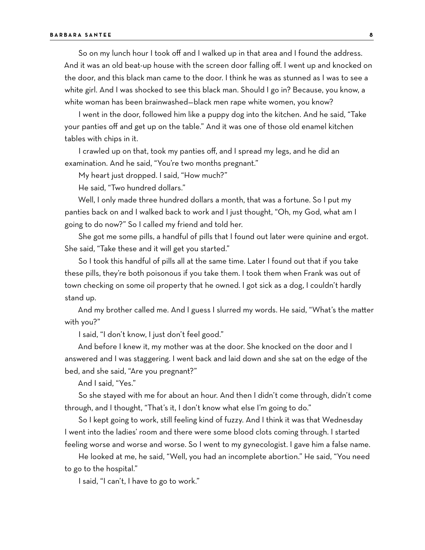So on my lunch hour I took off and I walked up in that area and I found the address. And it was an old beat-up house with the screen door falling off. I went up and knocked on the door, and this black man came to the door. I think he was as stunned as I was to see a white girl. And I was shocked to see this black man. Should I go in? Because, you know, a white woman has been brainwashed—black men rape white women, you know?

I went in the door, followed him like a puppy dog into the kitchen. And he said, "Take your panties off and get up on the table." And it was one of those old enamel kitchen tables with chips in it.

I crawled up on that, took my panties off, and I spread my legs, and he did an examination. And he said, "You're two months pregnant."

My heart just dropped. I said, "How much?"

He said, "Two hundred dollars."

Well, I only made three hundred dollars a month, that was a fortune. So I put my panties back on and I walked back to work and I just thought, "Oh, my God, what am I going to do now?" So I called my friend and told her.

She got me some pills, a handful of pills that I found out later were quinine and ergot. She said, "Take these and it will get you started."

So I took this handful of pills all at the same time. Later I found out that if you take these pills, they're both poisonous if you take them. I took them when Frank was out of town checking on some oil property that he owned. I got sick as a dog, I couldn't hardly stand up.

And my brother called me. And I guess I slurred my words. He said, "What's the matter with you?"

I said, "I don't know, I just don't feel good."

And before I knew it, my mother was at the door. She knocked on the door and I answered and I was staggering. I went back and laid down and she sat on the edge of the bed, and she said, "Are you pregnant?"

And I said, "Yes."

So she stayed with me for about an hour. And then I didn't come through, didn't come through, and I thought, "That's it, I don't know what else I'm going to do."

So I kept going to work, still feeling kind of fuzzy. And I think it was that Wednesday I went into the ladies' room and there were some blood clots coming through. I started feeling worse and worse and worse. So I went to my gynecologist. I gave him a false name.

He looked at me, he said, "Well, you had an incomplete abortion." He said, "You need to go to the hospital."

I said, "I can't, I have to go to work."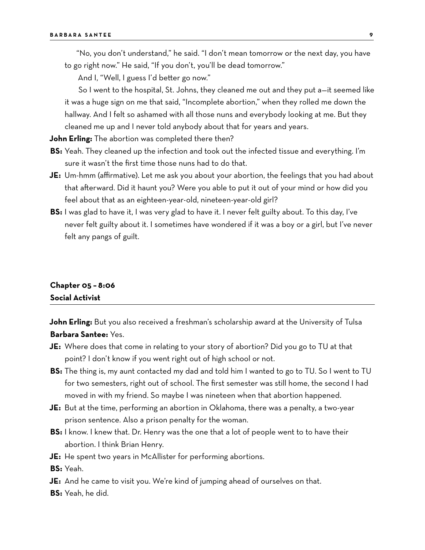"No, you don't understand," he said. "I don't mean tomorrow or the next day, you have to go right now." He said, "If you don't, you'll be dead tomorrow."

And I, "Well, I guess I'd better go now."

So I went to the hospital, St. Johns, they cleaned me out and they put a—it seemed like it was a huge sign on me that said, "Incomplete abortion," when they rolled me down the hallway. And I felt so ashamed with all those nuns and everybody looking at me. But they cleaned me up and I never told anybody about that for years and years.

**John Erling:** The abortion was completed there then?

- **BS:** Yeah. They cleaned up the infection and took out the infected tissue and everything. I'm sure it wasn't the first time those nuns had to do that.
- **JE:** Um-hmm (affirmative). Let me ask you about your abortion, the feelings that you had about that afterward. Did it haunt you? Were you able to put it out of your mind or how did you feel about that as an eighteen-year-old, nineteen-year-old girl?
- **BS:** I was glad to have it, I was very glad to have it. I never felt guilty about. To this day, I've never felt guilty about it. I sometimes have wondered if it was a boy or a girl, but I've never felt any pangs of guilt.

## **Chapter 05 – 8:06 Social Activist**

**John Erling:** But you also received a freshman's scholarship award at the University of Tulsa **Barbara Santee:** Yes.

- **JE:** Where does that come in relating to your story of abortion? Did you go to TU at that point? I don't know if you went right out of high school or not.
- **BS:** The thing is, my aunt contacted my dad and told him I wanted to go to TU. So I went to TU for two semesters, right out of school. The first semester was still home, the second I had moved in with my friend. So maybe I was nineteen when that abortion happened.
- **JE:** But at the time, performing an abortion in Oklahoma, there was a penalty, a two-year prison sentence. Also a prison penalty for the woman.
- **BS:** I know. I knew that. Dr. Henry was the one that a lot of people went to to have their abortion. I think Brian Henry.
- **JE:** He spent two years in McAllister for performing abortions.

**BS:** Yeah.

- **JE:** And he came to visit you. We're kind of jumping ahead of ourselves on that.
- **BS:** Yeah, he did.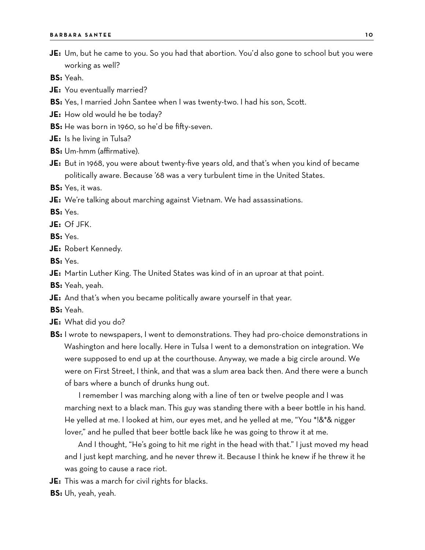**JE:** Um, but he came to you. So you had that abortion. You'd also gone to school but you were working as well?

**BS:** Yeah.

- **JE:** You eventually married?
- **BS:** Yes, I married John Santee when I was twenty-two. I had his son, Scott.
- **JE:** How old would he be today?
- **BS:** He was born in 1960, so he'd be fifty-seven.
- **JE:** Is he living in Tulsa?
- **BS:** Um-hmm (affirmative).
- **JE:** But in 1968, you were about twenty-five years old, and that's when you kind of became politically aware. Because '68 was a very turbulent time in the United States.
- **BS:** Yes, it was.
- **JE:** We're talking about marching against Vietnam. We had assassinations.

**BS:** Yes.

**JE:** Of JFK.

**BS:** Yes.

- **JE:** Robert Kennedy.
- **BS:** Yes.
- **JE:** Martin Luther King. The United States was kind of in an uproar at that point.
- **BS:** Yeah, yeah.
- **JE:** And that's when you became politically aware yourself in that year.
- **BS:** Yeah.
- **JE:** What did you do?

**BS:** I wrote to newspapers, I went to demonstrations. They had pro-choice demonstrations in Washington and here locally. Here in Tulsa I went to a demonstration on integration. We were supposed to end up at the courthouse. Anyway, we made a big circle around. We were on First Street, I think, and that was a slum area back then. And there were a bunch of bars where a bunch of drunks hung out.

I remember I was marching along with a line of ten or twelve people and I was marching next to a black man. This guy was standing there with a beer bottle in his hand. He yelled at me. I looked at him, our eyes met, and he yelled at me, "You \*!&\*& nigger lover," and he pulled that beer bottle back like he was going to throw it at me.

And I thought, "He's going to hit me right in the head with that." I just moved my head and I just kept marching, and he never threw it. Because I think he knew if he threw it he was going to cause a race riot.

- **JE:** This was a march for civil rights for blacks.
- **BS:** Uh, yeah, yeah.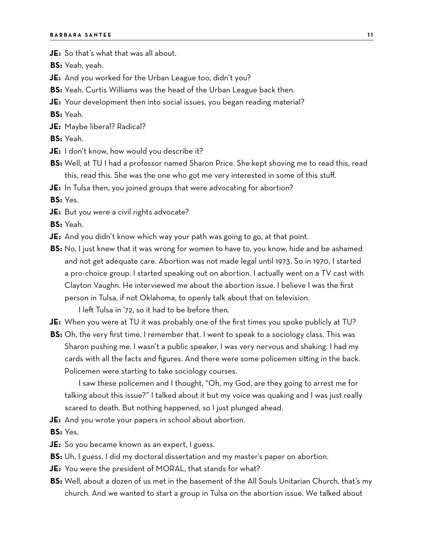**JE:** So that's what that was all about.

**BS:** Yeah, yeah.

- **JE:** And you worked for the Urban League too, didn't you?
- **BS:** Yeah. Curtis Williams was the head of the Urban League back then.
- **JE:** Your development then into social issues, you began reading material?

**BS:** Yeah.

**JE:** Maybe liberal? Radical?

**BS:** Yeah.

- **JE:** I don't know, how would you describe it?
- **BS:** Well, at TU I had a professor named Sharon Price. She kept shoving me to read this, read this, read this. She was the one who got me very interested in some of this stuff.
- **JE:** In Tulsa then, you joined groups that were advocating for abortion?

**BS:** Yes.

- **JE:** But you were a civil rights advocate?
- **BS:** Yeah.
- **JE:** And you didn't know which way your path was going to go, at that point.
- **BS:** No, I just knew that it was wrong for women to have to, you know, hide and be ashamed and not get adequate care. Abortion was not made legal until 1973. So in 1970, I started a pro-choice group. I started speaking out on abortion. I actually went on a TV cast with Clayton Vaughn. He interviewed me about the abortion issue. I believe I was the first person in Tulsa, if not Oklahoma, to openly talk about that on television.

I left Tulsa in '72, so it had to be before then.

- **JE:** When you were at TU it was probably one of the first times you spoke publicly at TU?
- **BS:** Oh, the very first time. I remember that. I went to speak to a sociology class. This was Sharon pushing me. I wasn't a public speaker, I was very nervous and shaking. I had my cards with all the facts and figures. And there were some policemen sitting in the back. Policemen were starting to take sociology courses.

I saw these policemen and I thought, "Oh, my God, are they going to arrest me for talking about this issue?" I talked about it but my voice was quaking and I was just really scared to death. But nothing happened, so I just plunged ahead.

**JE:** And you wrote your papers in school about abortion.

**BS:** Yes.

- **JE:** So you became known as an expert, I guess.
- **BS:** Uh, I guess. I did my doctoral dissertation and my master's paper on abortion.
- **JE:** You were the president of MORAL, that stands for what?
- **BS:** Well, about a dozen of us met in the basement of the All Souls Unitarian Church, that's my church. And we wanted to start a group in Tulsa on the abortion issue. We talked about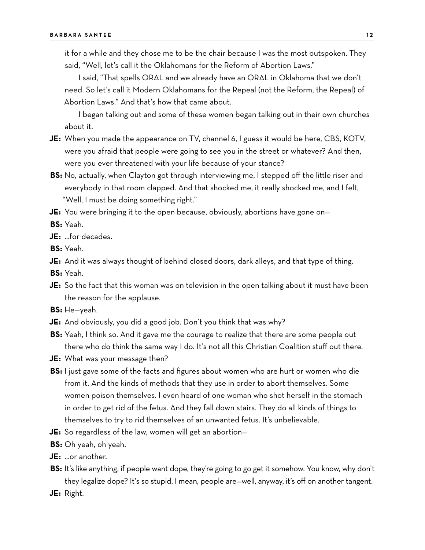it for a while and they chose me to be the chair because I was the most outspoken. They said, "Well, let's call it the Oklahomans for the Reform of Abortion Laws."

I said, "That spells ORAL and we already have an ORAL in Oklahoma that we don't need. So let's call it Modern Oklahomans for the Repeal (not the Reform, the Repeal) of Abortion Laws." And that's how that came about.

I began talking out and some of these women began talking out in their own churches about it.

- **JE:** When you made the appearance on TV, channel 6, I guess it would be here, CBS, KOTV, were you afraid that people were going to see you in the street or whatever? And then, were you ever threatened with your life because of your stance?
- **BS:** No, actually, when Clayton got through interviewing me, I stepped off the little riser and everybody in that room clapped. And that shocked me, it really shocked me, and I felt, "Well, I must be doing something right."
- **JE:** You were bringing it to the open because, obviously, abortions have gone on—

**BS:** Yeah.

**JE:** …for decades.

**BS:** Yeah.

**JE:** And it was always thought of behind closed doors, dark alleys, and that type of thing.

- **BS:** Yeah.
- **JE:** So the fact that this woman was on television in the open talking about it must have been the reason for the applause.
- **BS:** He—yeah.
- **JE:** And obviously, you did a good job. Don't you think that was why?
- **BS:** Yeah, I think so. And it gave me the courage to realize that there are some people out there who do think the same way I do. It's not all this Christian Coalition stuff out there.
- **JE:** What was your message then?
- **BS:** I just gave some of the facts and figures about women who are hurt or women who die from it. And the kinds of methods that they use in order to abort themselves. Some women poison themselves. I even heard of one woman who shot herself in the stomach in order to get rid of the fetus. And they fall down stairs. They do all kinds of things to themselves to try to rid themselves of an unwanted fetus. It's unbelievable.
- **JE:** So regardless of the law, women will get an abortion—
- **BS:** Oh yeah, oh yeah.
- **JE:** …or another.
- **BS:** It's like anything, if people want dope, they're going to go get it somehow. You know, why don't they legalize dope? It's so stupid, I mean, people are—well, anyway, it's off on another tangent.
- **JE:** Right.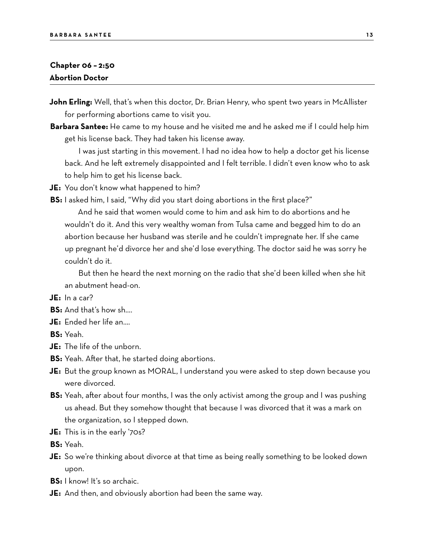#### **Chapter 06 – 2:50 Abortion Doctor**

- **John Erling:** Well, that's when this doctor, Dr. Brian Henry, who spent two years in McAllister for performing abortions came to visit you.
- **Barbara Santee:** He came to my house and he visited me and he asked me if I could help him get his license back. They had taken his license away.

I was just starting in this movement. I had no idea how to help a doctor get his license back. And he left extremely disappointed and I felt terrible. I didn't even know who to ask to help him to get his license back.

- **JE:** You don't know what happened to him?
- **BS:** I asked him, I said, "Why did you start doing abortions in the first place?"

And he said that women would come to him and ask him to do abortions and he wouldn't do it. And this very wealthy woman from Tulsa came and begged him to do an abortion because her husband was sterile and he couldn't impregnate her. If she came up pregnant he'd divorce her and she'd lose everything. The doctor said he was sorry he couldn't do it.

But then he heard the next morning on the radio that she'd been killed when she hit an abutment head-on.

**JE:** In a car?

- **BS:** And that's how sh….
- **JE:** Ended her life an….

**BS:** Yeah.

- **JE:** The life of the unborn.
- **BS:** Yeah. After that, he started doing abortions.
- **JE:** But the group known as MORAL, I understand you were asked to step down because you were divorced.
- **BS:** Yeah, after about four months, I was the only activist among the group and I was pushing us ahead. But they somehow thought that because I was divorced that it was a mark on the organization, so I stepped down.
- **JE:** This is in the early '70s?

**BS:** Yeah.

- **JE:** So we're thinking about divorce at that time as being really something to be looked down upon.
- **BS:** I know! It's so archaic.
- **JE:** And then, and obviously abortion had been the same way.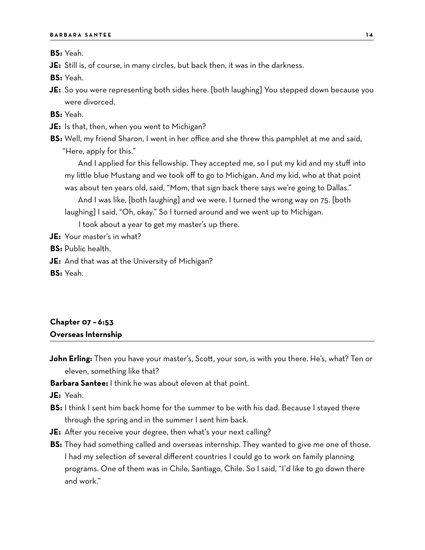**BS:** Yeah.

**JE:** Still is, of course, in many circles, but back then, it was in the darkness.

**BS:** Yeah.

**JE:** So you were representing both sides here. [both laughing] You stepped down because you were divorced.

**BS:** Yeah.

- **JE:** Is that, then, when you went to Michigan?
- **BS:** Well, my friend Sharon, I went in her office and she threw this pamphlet at me and said, "Here, apply for this."

And I applied for this fellowship. They accepted me, so I put my kid and my stuff into my little blue Mustang and we took off to go to Michigan. And my kid, who at that point was about ten years old, said, "Mom, that sign back there says we're going to Dallas."

And I was like, [both laughing] and we were. I turned the wrong way on 75. [both laughing] I said, "Oh, okay." So I turned around and we went up to Michigan.

I took about a year to get my master's up there.

**JE:** Your master's in what?

**BS:** Public health.

- **JE:** And that was at the University of Michigan?
- **BS:** Yeah.

#### **Chapter 07 – 6:53 Overseas Internship**

**John Erling:** Then you have your master's, Scott, your son, is with you there. He's, what? Ten or eleven, something like that?

**Barbara Santee:** I think he was about eleven at that point.

**JE:** Yeah.

- **BS:** I think I sent him back home for the summer to be with his dad. Because I stayed there through the spring and in the summer I sent him back.
- **JE:** After you receive your degree, then what's your next calling?
- **BS:** They had something called and overseas internship. They wanted to give me one of those. I had my selection of several different countries I could go to work on family planning programs. One of them was in Chile, Santiago, Chile. So I said, "I'd like to go down there and work."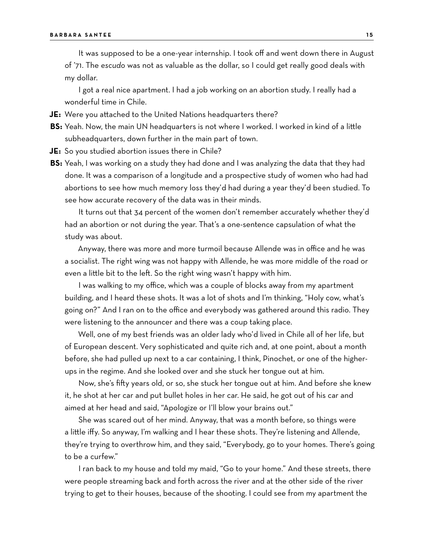It was supposed to be a one-year internship. I took off and went down there in August of '71. The *escudo* was not as valuable as the dollar, so I could get really good deals with my dollar.

I got a real nice apartment. I had a job working on an abortion study. I really had a wonderful time in Chile.

**JE:** Were you attached to the United Nations headquarters there?

**BS:** Yeah. Now, the main UN headquarters is not where I worked. I worked in kind of a little subheadquarters, down further in the main part of town.

**JE:** So you studied abortion issues there in Chile?

**BS:** Yeah, I was working on a study they had done and I was analyzing the data that they had done. It was a comparison of a longitude and a prospective study of women who had had abortions to see how much memory loss they'd had during a year they'd been studied. To see how accurate recovery of the data was in their minds.

It turns out that 34 percent of the women don't remember accurately whether they'd had an abortion or not during the year. That's a one-sentence capsulation of what the study was about.

Anyway, there was more and more turmoil because Allende was in office and he was a socialist. The right wing was not happy with Allende, he was more middle of the road or even a little bit to the left. So the right wing wasn't happy with him.

I was walking to my office, which was a couple of blocks away from my apartment building, and I heard these shots. It was a lot of shots and I'm thinking, "Holy cow, what's going on?" And I ran on to the office and everybody was gathered around this radio. They were listening to the announcer and there was a coup taking place.

Well, one of my best friends was an older lady who'd lived in Chile all of her life, but of European descent. Very sophisticated and quite rich and, at one point, about a month before, she had pulled up next to a car containing, I think, Pinochet, or one of the higherups in the regime. And she looked over and she stuck her tongue out at him.

Now, she's fifty years old, or so, she stuck her tongue out at him. And before she knew it, he shot at her car and put bullet holes in her car. He said, he got out of his car and aimed at her head and said, "Apologize or I'll blow your brains out."

She was scared out of her mind. Anyway, that was a month before, so things were a little iffy. So anyway, I'm walking and I hear these shots. They're listening and Allende, they're trying to overthrow him, and they said, "Everybody, go to your homes. There's going to be a curfew."

I ran back to my house and told my maid, "Go to your home." And these streets, there were people streaming back and forth across the river and at the other side of the river trying to get to their houses, because of the shooting. I could see from my apartment the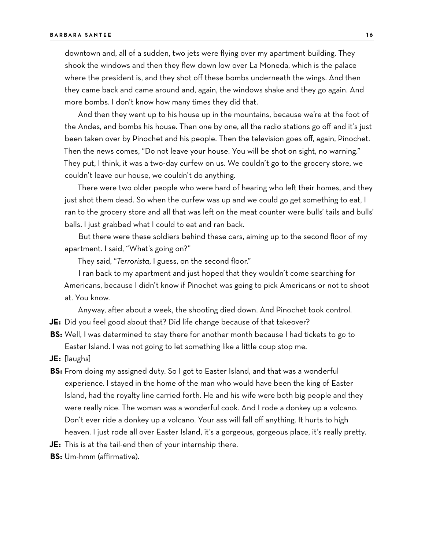downtown and, all of a sudden, two jets were flying over my apartment building. They shook the windows and then they flew down low over La Moneda, which is the palace where the president is, and they shot off these bombs underneath the wings. And then they came back and came around and, again, the windows shake and they go again. And more bombs. I don't know how many times they did that.

And then they went up to his house up in the mountains, because we're at the foot of the Andes, and bombs his house. Then one by one, all the radio stations go off and it's just been taken over by Pinochet and his people. Then the television goes off, again, Pinochet. Then the news comes, "Do not leave your house. You will be shot on sight, no warning." They put, I think, it was a two-day curfew on us. We couldn't go to the grocery store, we couldn't leave our house, we couldn't do anything.

There were two older people who were hard of hearing who left their homes, and they just shot them dead. So when the curfew was up and we could go get something to eat, I ran to the grocery store and all that was left on the meat counter were bulls' tails and bulls' balls. I just grabbed what I could to eat and ran back.

But there were these soldiers behind these cars, aiming up to the second floor of my apartment. I said, "What's going on?"

They said, "*Terrorista*, I guess, on the second floor."

I ran back to my apartment and just hoped that they wouldn't come searching for Americans, because I didn't know if Pinochet was going to pick Americans or not to shoot at. You know.

Anyway, after about a week, the shooting died down. And Pinochet took control.

- **JE:** Did you feel good about that? Did life change because of that takeover?
- **BS:** Well, I was determined to stay there for another month because I had tickets to go to Easter Island. I was not going to let something like a little coup stop me.
- **JE:** [laughs]
- **BS:** From doing my assigned duty. So I got to Easter Island, and that was a wonderful experience. I stayed in the home of the man who would have been the king of Easter Island, had the royalty line carried forth. He and his wife were both big people and they were really nice. The woman was a wonderful cook. And I rode a donkey up a volcano. Don't ever ride a donkey up a volcano. Your ass will fall off anything. It hurts to high heaven. I just rode all over Easter Island, it's a gorgeous, gorgeous place, it's really pretty.
- **JE:** This is at the tail-end then of your internship there.
- **BS:** Um-hmm (affirmative).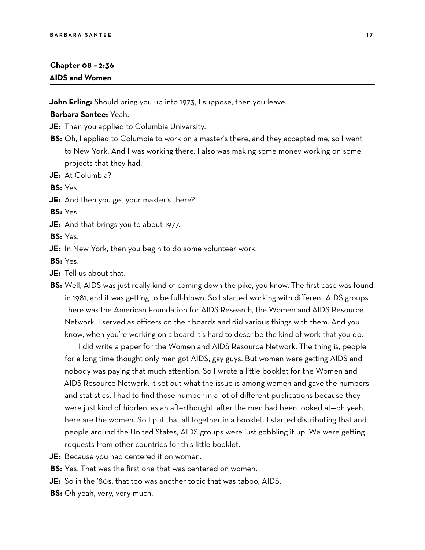#### **Chapter 08 – 2:36 AIDS and Women**

**John Erling:** Should bring you up into 1973, I suppose, then you leave.

#### **Barbara Santee:** Yeah.

**JE:** Then you applied to Columbia University.

- **BS:** Oh, I applied to Columbia to work on a master's there, and they accepted me, so I went to New York. And I was working there. I also was making some money working on some projects that they had.
- **JE:** At Columbia?

**BS:** Yes.

**JE:** And then you get your master's there?

**BS:** Yes.

**JE:** And that brings you to about 1977.

**BS:** Yes.

**JE:** In New York, then you begin to do some volunteer work.

**BS:** Yes.

- **JE:** Tell us about that.
- **BS:** Well, AIDS was just really kind of coming down the pike, you know. The first case was found in 1981, and it was getting to be full-blown. So I started working with different AIDS groups. There was the American Foundation for AIDS Research, the Women and AIDS Resource Network. I served as officers on their boards and did various things with them. And you know, when you're working on a board it's hard to describe the kind of work that you do.

I did write a paper for the Women and AIDS Resource Network. The thing is, people for a long time thought only men got AIDS, gay guys. But women were getting AIDS and nobody was paying that much attention. So I wrote a little booklet for the Women and AIDS Resource Network, it set out what the issue is among women and gave the numbers and statistics. I had to find those number in a lot of different publications because they were just kind of hidden, as an afterthought, after the men had been looked at—oh yeah, here are the women. So I put that all together in a booklet. I started distributing that and people around the United States, AIDS groups were just gobbling it up. We were getting requests from other countries for this little booklet.

- **JE:** Because you had centered it on women.
- **BS:** Yes. That was the first one that was centered on women.
- **JE:** So in the '80s, that too was another topic that was taboo, AIDS.
- **BS:** Oh yeah, very, very much.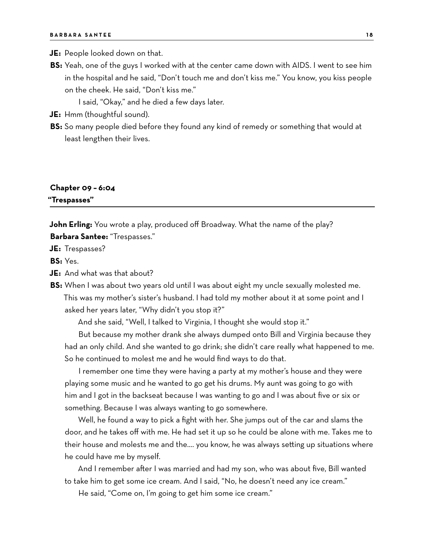**JE:** People looked down on that.

**BS:** Yeah, one of the guys I worked with at the center came down with AIDS. I went to see him in the hospital and he said, "Don't touch me and don't kiss me." You know, you kiss people on the cheek. He said, "Don't kiss me."

I said, "Okay," and he died a few days later.

- **JE:** Hmm (thoughtful sound).
- **BS:** So many people died before they found any kind of remedy or something that would at least lengthen their lives.

# **Chapter 09 – 6:04**

**"Trespasses"**

**John Erling:** You wrote a play, produced off Broadway. What the name of the play? **Barbara Santee:** "Trespasses."

**JE:** Trespasses?

**BS:** Yes.

- **JE:** And what was that about?
- **BS:** When I was about two years old until I was about eight my uncle sexually molested me. This was my mother's sister's husband. I had told my mother about it at some point and I asked her years later, "Why didn't you stop it?"

And she said, "Well, I talked to Virginia, I thought she would stop it."

But because my mother drank she always dumped onto Bill and Virginia because they had an only child. And she wanted to go drink; she didn't care really what happened to me. So he continued to molest me and he would find ways to do that.

I remember one time they were having a party at my mother's house and they were playing some music and he wanted to go get his drums. My aunt was going to go with him and I got in the backseat because I was wanting to go and I was about five or six or something. Because I was always wanting to go somewhere.

Well, he found a way to pick a fight with her. She jumps out of the car and slams the door, and he takes off with me. He had set it up so he could be alone with me. Takes me to their house and molests me and the…. you know, he was always setting up situations where he could have me by myself.

And I remember after I was married and had my son, who was about five, Bill wanted to take him to get some ice cream. And I said, "No, he doesn't need any ice cream."

He said, "Come on, I'm going to get him some ice cream."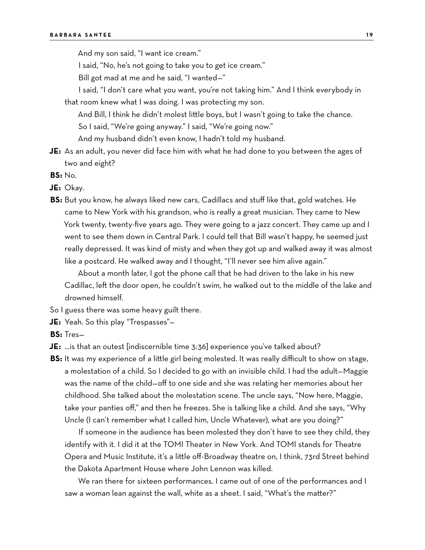And my son said, "I want ice cream."

I said, "No, he's not going to take you to get ice cream."

Bill got mad at me and he said, "I wanted—"

I said, "I don't care what you want, you're not taking him." And I think everybody in that room knew what I was doing. I was protecting my son.

And Bill, I think he didn't molest little boys, but I wasn't going to take the chance. So I said, "We're going anyway." I said, "We're going now."

And my husband didn't even know, I hadn't told my husband.

- **JE:** As an adult, you never did face him with what he had done to you between the ages of two and eight?
- **BS:** No.
- **JE:** Okay.
- **BS:** But you know, he always liked new cars, Cadillacs and stuff like that, gold watches. He came to New York with his grandson, who is really a great musician. They came to New York twenty, twenty-five years ago. They were going to a jazz concert. They came up and I went to see them down in Central Park. I could tell that Bill wasn't happy, he seemed just really depressed. It was kind of misty and when they got up and walked away it was almost like a postcard. He walked away and I thought, "I'll never see him alive again."

About a month later, I got the phone call that he had driven to the lake in his new Cadillac, left the door open, he couldn't swim, he walked out to the middle of the lake and drowned himself.

So I guess there was some heavy guilt there.

**JE:** Yeah. So this play "Trespasses"—

**BS:** Tres—

- **JE:** …is that an outest [indiscernible time 3:36] experience you've talked about?
- **BS:** It was my experience of a little girl being molested. It was really difficult to show on stage, a molestation of a child. So I decided to go with an invisible child. I had the adult—Maggie was the name of the child—off to one side and she was relating her memories about her childhood. She talked about the molestation scene. The uncle says, "Now here, Maggie, take your panties off," and then he freezes. She is talking like a child. And she says, "Why Uncle (I can't remember what I called him, Uncle Whatever), what are you doing?"

If someone in the audience has been molested they don't have to see they child, they identify with it. I did it at the TOMI Theater in New York. And TOMI stands for Theatre Opera and Music Institute, it's a little off-Broadway theatre on, I think, 73rd Street behind the Dakota Apartment House where John Lennon was killed.

We ran there for sixteen performances. I came out of one of the performances and I saw a woman lean against the wall, white as a sheet. I said, "What's the matter?"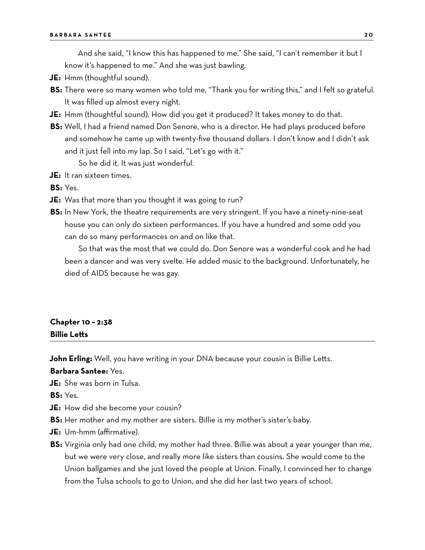And she said, "I know this has happened to me." She said, "I can't remember it but I know it's happened to me." And she was just bawling.

- **JE:** Hmm (thoughtful sound).
- **BS:** There were so many women who told me, "Thank you for writing this," and I felt so grateful. It was filled up almost every night.
- **JE:** Hmm (thoughtful sound). How did you get it produced? It takes money to do that.
- **BS:** Well, I had a friend named Don Senore, who is a director. He had plays produced before and somehow he came up with twenty-five thousand dollars. I don't know and I didn't ask and it just fell into my lap. So I said, "Let's go with it." So he did it. It was just wonderful.
- **JE:** It ran sixteen times.

**BS:** Yes.

- **JE:** Was that more than you thought it was going to run?
- **BS:** In New York, the theatre requirements are very stringent. If you have a ninety-nine-seat house you can only do sixteen performances. If you have a hundred and some odd you can do so many performances on and on like that.

So that was the most that we could do. Don Senore was a wonderful cook and he had been a dancer and was very svelte. He added music to the background. Unfortunately, he died of AIDS because he was gay.

## **Chapter 10 – 2:38 Billie Letts**

**John Erling:** Well, you have writing in your DNA because your cousin is Billie Letts.

**Barbara Santee:** Yes.

**JE:** She was born in Tulsa.

**BS:** Yes.

- **JE:** How did she become your cousin?
- **BS:** Her mother and my mother are sisters. Billie is my mother's sister's baby.
- **JE:** Um-hmm (affirmative).
- **BS:** Virginia only had one child, my mother had three. Billie was about a year younger than me, but we were very close, and really more like sisters than cousins. She would come to the Union ballgames and she just loved the people at Union. Finally, I convinced her to change from the Tulsa schools to go to Union, and she did her last two years of school.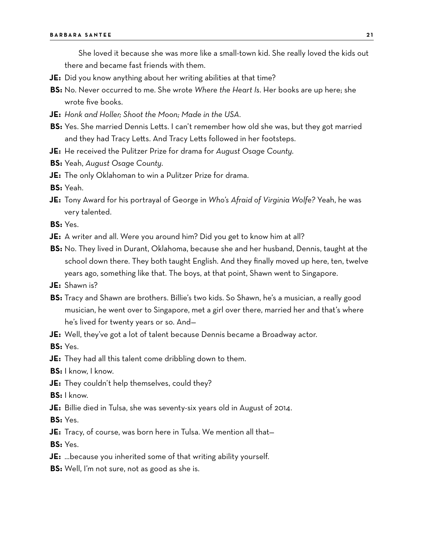She loved it because she was more like a small-town kid. She really loved the kids out there and became fast friends with them.

- **JE:** Did you know anything about her writing abilities at that time?
- **BS:** No. Never occurred to me. She wrote *Where the Heart Is*. Her books are up here; she wrote five books.
- **JE:** *Honk and Holler; Shoot the Moon; Made in the USA.*
- **BS:** Yes. She married Dennis Letts. I can't remember how old she was, but they got married and they had Tracy Letts. And Tracy Letts followed in her footsteps.
- **JE:** He received the Pulitzer Prize for drama for *August Osage County*.
- **BS:** Yeah, *August Osage County*.
- **JE:** The only Oklahoman to win a Pulitzer Prize for drama.
- **BS:** Yeah.
- **JE:** Tony Award for his portrayal of George in *Who's Afraid of Virginia Wolfe?* Yeah, he was very talented.
- **BS:** Yes.
- **JE:** A writer and all. Were you around him? Did you get to know him at all?
- **BS:** No. They lived in Durant, Oklahoma, because she and her husband, Dennis, taught at the school down there. They both taught English. And they finally moved up here, ten, twelve years ago, something like that. The boys, at that point, Shawn went to Singapore.
- **JE:** Shawn is?
- **BS:** Tracy and Shawn are brothers. Billie's two kids. So Shawn, he's a musician, a really good musician, he went over to Singapore, met a girl over there, married her and that's where he's lived for twenty years or so. And—
- **JE:** Well, they've got a lot of talent because Dennis became a Broadway actor.

**BS:** Yes.

- **JE:** They had all this talent come dribbling down to them.
- **BS:** I know, I know.
- **JE:** They couldn't help themselves, could they?
- **BS:** I know.
- **JE:** Billie died in Tulsa, she was seventy-six years old in August of 2014.
- **BS:** Yes.
- **JE:** Tracy, of course, was born here in Tulsa. We mention all that—
- **BS:** Yes.
- **JE:** …because you inherited some of that writing ability yourself.
- **BS:** Well, I'm not sure, not as good as she is.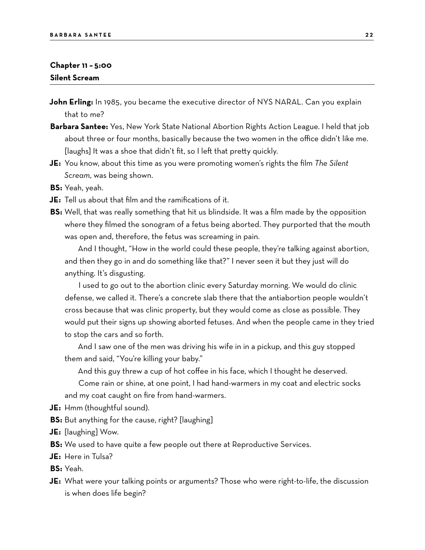#### **Chapter 11 – 5:00 Silent Scream**

- **John Erling:** In 1985, you became the executive director of NYS NARAL. Can you explain that to me?
- **Barbara Santee:** Yes, New York State National Abortion Rights Action League. I held that job about three or four months, basically because the two women in the office didn't like me. [laughs] It was a shoe that didn't fit, so I left that pretty quickly.
- **JE:** You know, about this time as you were promoting women's rights the film *The Silent Scream*, was being shown.
- **BS:** Yeah, yeah.
- **JE:** Tell us about that film and the ramifications of it.
- **BS:** Well, that was really something that hit us blindside. It was a film made by the opposition where they filmed the sonogram of a fetus being aborted. They purported that the mouth was open and, therefore, the fetus was screaming in pain.

And I thought, "How in the world could these people, they're talking against abortion, and then they go in and do something like that?" I never seen it but they just will do anything. It's disgusting.

I used to go out to the abortion clinic every Saturday morning. We would do clinic defense, we called it. There's a concrete slab there that the antiabortion people wouldn't cross because that was clinic property, but they would come as close as possible. They would put their signs up showing aborted fetuses. And when the people came in they tried to stop the cars and so forth.

And I saw one of the men was driving his wife in in a pickup, and this guy stopped them and said, "You're killing your baby."

And this guy threw a cup of hot coffee in his face, which I thought he deserved.

Come rain or shine, at one point, I had hand-warmers in my coat and electric socks and my coat caught on fire from hand-warmers.

- **JE:** Hmm (thoughtful sound).
- **BS:** But anything for the cause, right? [laughing]
- **JE:** [laughing] Wow.

**BS:** We used to have quite a few people out there at Reproductive Services.

- **JE:** Here in Tulsa?
- **BS:** Yeah.
- **JE:** What were your talking points or arguments? Those who were right-to-life, the discussion is when does life begin?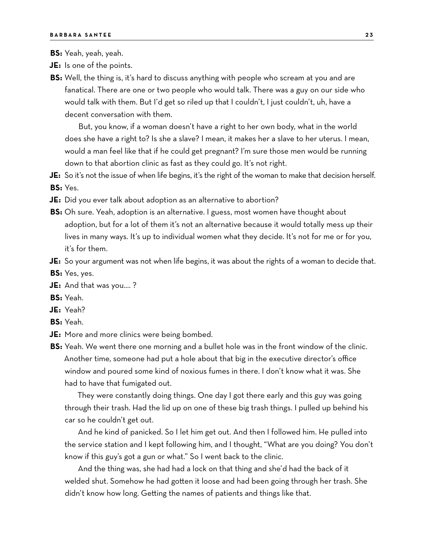**BS:** Yeah, yeah, yeah.

- **JE:** Is one of the points.
- **BS:** Well, the thing is, it's hard to discuss anything with people who scream at you and are fanatical. There are one or two people who would talk. There was a guy on our side who would talk with them. But I'd get so riled up that I couldn't, I just couldn't, uh, have a decent conversation with them.

But, you know, if a woman doesn't have a right to her own body, what in the world does she have a right to? Is she a slave? I mean, it makes her a slave to her uterus. I mean, would a man feel like that if he could get pregnant? I'm sure those men would be running down to that abortion clinic as fast as they could go. It's not right.

**JE:** So it's not the issue of when life begins, it's the right of the woman to make that decision herself. **BS:** Yes.

- **JE:** Did you ever talk about adoption as an alternative to abortion?
- **BS:** Oh sure. Yeah, adoption is an alternative. I guess, most women have thought about adoption, but for a lot of them it's not an alternative because it would totally mess up their lives in many ways. It's up to individual women what they decide. It's not for me or for you, it's for them.
- **JE:** So your argument was not when life begins, it was about the rights of a woman to decide that.
- **BS:** Yes, yes.
- **JE:** And that was you…. ?
- **BS:** Yeah.
- **JE:** Yeah?
- **BS:** Yeah.
- **JE:** More and more clinics were being bombed.

**BS:** Yeah. We went there one morning and a bullet hole was in the front window of the clinic. Another time, someone had put a hole about that big in the executive director's office window and poured some kind of noxious fumes in there. I don't know what it was. She had to have that fumigated out.

They were constantly doing things. One day I got there early and this guy was going through their trash. Had the lid up on one of these big trash things. I pulled up behind his car so he couldn't get out.

And he kind of panicked. So I let him get out. And then I followed him. He pulled into the service station and I kept following him, and I thought, "What are you doing? You don't know if this guy's got a gun or what." So I went back to the clinic.

And the thing was, she had had a lock on that thing and she'd had the back of it welded shut. Somehow he had gotten it loose and had been going through her trash. She didn't know how long. Getting the names of patients and things like that.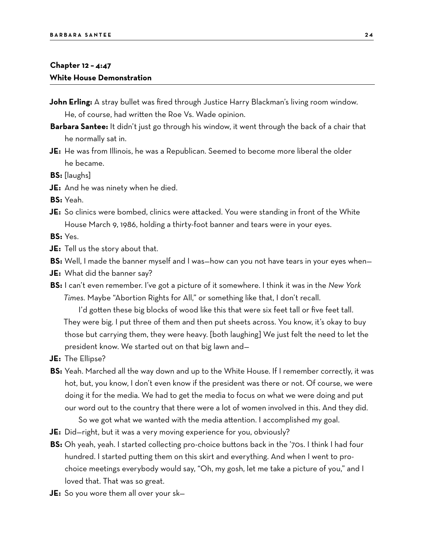#### **Chapter 12 – 4:47 White House Demonstration**

- **John Erling:** A stray bullet was fired through Justice Harry Blackman's living room window. He, of course, had written the Roe Vs. Wade opinion.
- **Barbara Santee:** It didn't just go through his window, it went through the back of a chair that he normally sat in.
- **JE:** He was from Illinois, he was a Republican. Seemed to become more liberal the older he became.
- **BS:** [laughs]
- **JE:** And he was ninety when he died.
- **BS:** Yeah.
- **JE:** So clinics were bombed, clinics were attacked. You were standing in front of the White House March 9, 1986, holding a thirty-foot banner and tears were in your eyes.

**BS:** Yes.

- **JE:** Tell us the story about that.
- **BS:** Well, I made the banner myself and I was—how can you not have tears in your eyes when—
- **JE:** What did the banner say?
- **BS:** I can't even remember. I've got a picture of it somewhere. I think it was in the *New York Times.* Maybe "Abortion Rights for All," or something like that, I don't recall.

I'd gotten these big blocks of wood like this that were six feet tall or five feet tall. They were big. I put three of them and then put sheets across. You know, it's okay to buy those but carrying them, they were heavy. [both laughing] We just felt the need to let the president know. We started out on that big lawn and—

- **JE:** The Ellipse?
- **BS:** Yeah. Marched all the way down and up to the White House. If I remember correctly, it was hot, but, you know, I don't even know if the president was there or not. Of course, we were doing it for the media. We had to get the media to focus on what we were doing and put our word out to the country that there were a lot of women involved in this. And they did. So we got what we wanted with the media attention. I accomplished my goal.
- **JE:** Did—right, but it was a very moving experience for you, obviously?
- **BS:** Oh yeah, yeah. I started collecting pro-choice buttons back in the '70s. I think I had four hundred. I started putting them on this skirt and everything. And when I went to prochoice meetings everybody would say, "Oh, my gosh, let me take a picture of you," and I loved that. That was so great.
- **JE:** So you wore them all over your sk—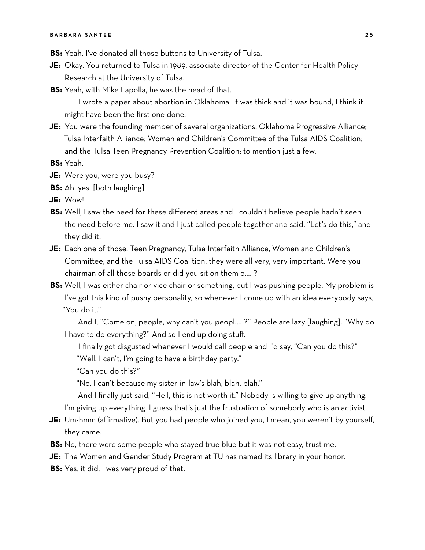- **BS:** Yeah. I've donated all those buttons to University of Tulsa.
- **JE:** Okay. You returned to Tulsa in 1989, associate director of the Center for Health Policy Research at the University of Tulsa.
- **BS:** Yeah, with Mike Lapolla, he was the head of that.

I wrote a paper about abortion in Oklahoma. It was thick and it was bound, I think it might have been the first one done.

**JE:** You were the founding member of several organizations, Oklahoma Progressive Alliance; Tulsa Interfaith Alliance; Women and Children's Committee of the Tulsa AIDS Coalition; and the Tulsa Teen Pregnancy Prevention Coalition; to mention just a few.

**BS:** Yeah.

- **JE:** Were you, were you busy?
- **BS:** Ah, yes. [both laughing]

**JE:** Wow!

- **BS:** Well, I saw the need for these different areas and I couldn't believe people hadn't seen the need before me. I saw it and I just called people together and said, "Let's do this," and they did it.
- **JE:** Each one of those, Teen Pregnancy, Tulsa Interfaith Alliance, Women and Children's Committee, and the Tulsa AIDS Coalition, they were all very, very important. Were you chairman of all those boards or did you sit on them o…. ?
- **BS:** Well, I was either chair or vice chair or something, but I was pushing people. My problem is I've got this kind of pushy personality, so whenever I come up with an idea everybody says, "You do it."

And I, "Come on, people, why can't you peopl…. ?" People are lazy [laughing]. "Why do I have to do everything?" And so I end up doing stuff.

I finally got disgusted whenever I would call people and I'd say, "Can you do this?"

"Well, I can't, I'm going to have a birthday party."

"Can you do this?"

"No, I can't because my sister-in-law's blah, blah, blah."

And I finally just said, "Hell, this is not worth it." Nobody is willing to give up anything. I'm giving up everything. I guess that's just the frustration of somebody who is an activist.

- **JE:** Um-hmm (affirmative). But you had people who joined you, I mean, you weren't by yourself, they came.
- **BS:** No, there were some people who stayed true blue but it was not easy, trust me.
- **JE:** The Women and Gender Study Program at TU has named its library in your honor.
- **BS:** Yes, it did, I was very proud of that.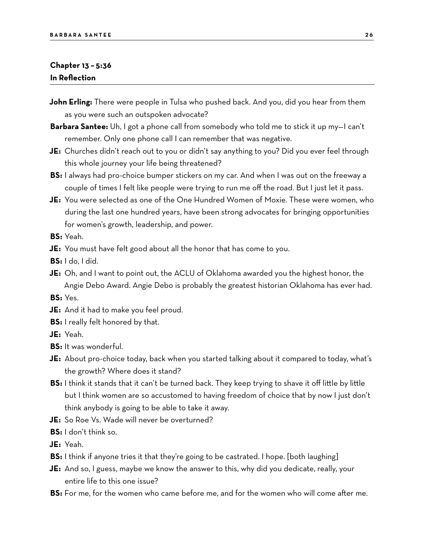#### **Chapter 13 – 5:36 In Reflection**

- **John Erling:** There were people in Tulsa who pushed back. And you, did you hear from them as you were such an outspoken advocate?
- **Barbara Santee:** Uh, I got a phone call from somebody who told me to stick it up my—I can't remember. Only one phone call I can remember that was negative.
- **JE:** Churches didn't reach out to you or didn't say anything to you? Did you ever feel through this whole journey your life being threatened?
- **BS:** I always had pro-choice bumper stickers on my car. And when I was out on the freeway a couple of times I felt like people were trying to run me off the road. But I just let it pass.
- **JE:** You were selected as one of the One Hundred Women of Moxie. These were women, who during the last one hundred years, have been strong advocates for bringing opportunities for women's growth, leadership, and power.
- **BS:** Yeah.
- **JE:** You must have felt good about all the honor that has come to you.
- **BS:** I do, I did.
- **JE:** Oh, and I want to point out, the ACLU of Oklahoma awarded you the highest honor, the Angie Debo Award. Angie Debo is probably the greatest historian Oklahoma has ever had.

**BS:** Yes.

- **JE:** And it had to make you feel proud.
- **BS:** I really felt honored by that.
- **JE:** Yeah.
- **BS:** It was wonderful.
- **JE:** About pro-choice today, back when you started talking about it compared to today, what's the growth? Where does it stand?
- **BS:** I think it stands that it can't be turned back. They keep trying to shave it off little by little but I think women are so accustomed to having freedom of choice that by now I just don't think anybody is going to be able to take it away.
- **JE:** So Roe Vs. Wade will never be overturned?

**BS:** I don't think so.

- **JE:** Yeah.
- **BS:** I think if anyone tries it that they're going to be castrated. I hope. [both laughing]
- **JE:** And so, I guess, maybe we know the answer to this, why did you dedicate, really, your entire life to this one issue?
- **BS:** For me, for the women who came before me, and for the women who will come after me.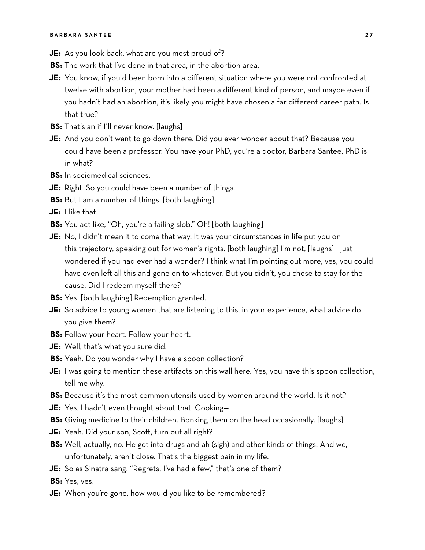- **JE:** As you look back, what are you most proud of?
- **BS:** The work that I've done in that area, in the abortion area.
- **JE:** You know, if you'd been born into a different situation where you were not confronted at twelve with abortion, your mother had been a different kind of person, and maybe even if you hadn't had an abortion, it's likely you might have chosen a far different career path. Is that true?
- **BS:** That's an if I'll never know. [laughs]
- **JE:** And you don't want to go down there. Did you ever wonder about that? Because you could have been a professor. You have your PhD, you're a doctor, Barbara Santee, PhD is in what?
- **BS:** In sociomedical sciences.
- **JE:** Right. So you could have been a number of things.
- **BS:** But I am a number of things. [both laughing]
- **JE:** I like that.
- **BS:** You act like, "Oh, you're a failing slob." Oh! [both laughing]
- **JE:** No, I didn't mean it to come that way. It was your circumstances in life put you on this trajectory, speaking out for women's rights. [both laughing] I'm not, [laughs] I just wondered if you had ever had a wonder? I think what I'm pointing out more, yes, you could have even left all this and gone on to whatever. But you didn't, you chose to stay for the cause. Did I redeem myself there?
- **BS:** Yes. [both laughing] Redemption granted.
- **JE:** So advice to young women that are listening to this, in your experience, what advice do you give them?
- **BS:** Follow your heart. Follow your heart.
- **JE:** Well, that's what you sure did.
- **BS:** Yeah. Do you wonder why I have a spoon collection?
- **JE:** I was going to mention these artifacts on this wall here. Yes, you have this spoon collection, tell me why.
- **BS:** Because it's the most common utensils used by women around the world. Is it not?
- **JE:** Yes, I hadn't even thought about that. Cooking—
- **BS:** Giving medicine to their children. Bonking them on the head occasionally. [laughs]
- **JE:** Yeah. Did your son, Scott, turn out all right?
- **BS:** Well, actually, no. He got into drugs and ah (sigh) and other kinds of things. And we, unfortunately, aren't close. That's the biggest pain in my life.
- **JE:** So as Sinatra sang, "Regrets, I've had a few," that's one of them?
- **BS:** Yes, yes.
- **JE:** When you're gone, how would you like to be remembered?